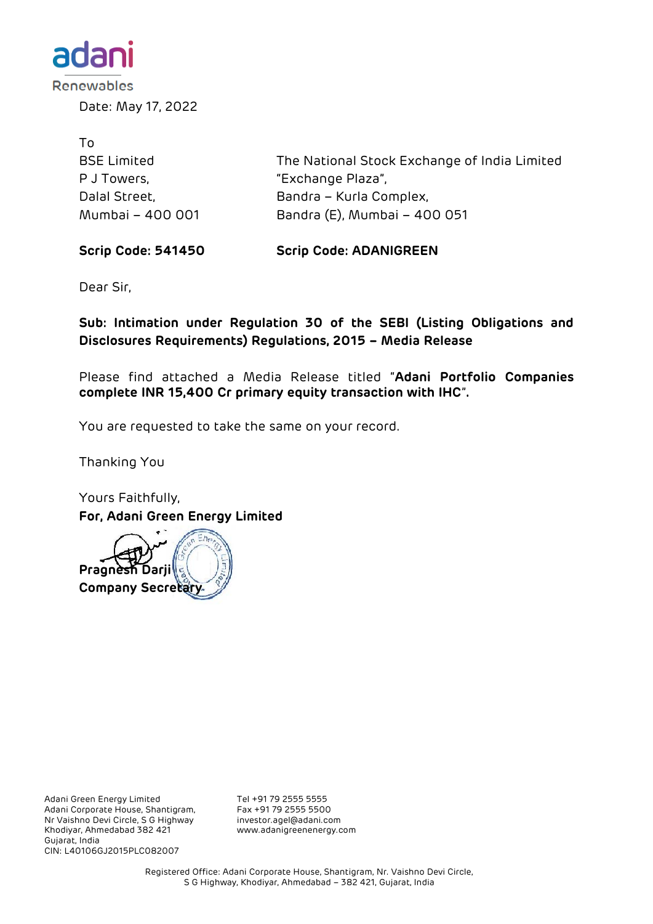

Date: May 17, 2022

| To                 |                                              |
|--------------------|----------------------------------------------|
| <b>BSE Limited</b> | The National Stock Exchange of India Limited |
| P J Towers,        | "Exchange Plaza",                            |
| Dalal Street,      | Bandra – Kurla Complex,                      |
| Mumbai - 400 001   | Bandra (E), Mumbai - 400 051                 |

**Scrip Code: 541450 Scrip Code: ADANIGREEN**

Dear Sir,

**Sub: Intimation under Regulation 30 of the SEBI (Listing Obligations and Disclosures Requirements) Regulations, 2015 – Media Release**

Please find attached a Media Release titled "**Adani Portfolio Companies complete INR 15,400 Cr primary equity transaction with IHC**"**.**

You are requested to take the same on your record.

Thanking You

Yours Faithfully, **For, Adani Green Energy Limited**



Adani Green Energy Limited Tel +91 79 2555 5555<br>Adani Corporate House, Shantigram, Fax +91 79 2555 5500 Adani Corporate House, Shantigram, Fax +91 79 2555 5500 Nr Vaishno Devi Circle, S G Highway Khodiyar, Ahmedabad 382 421 www.adanigreenenergy.com Gujarat, India CIN: L40106GJ2015PLC082007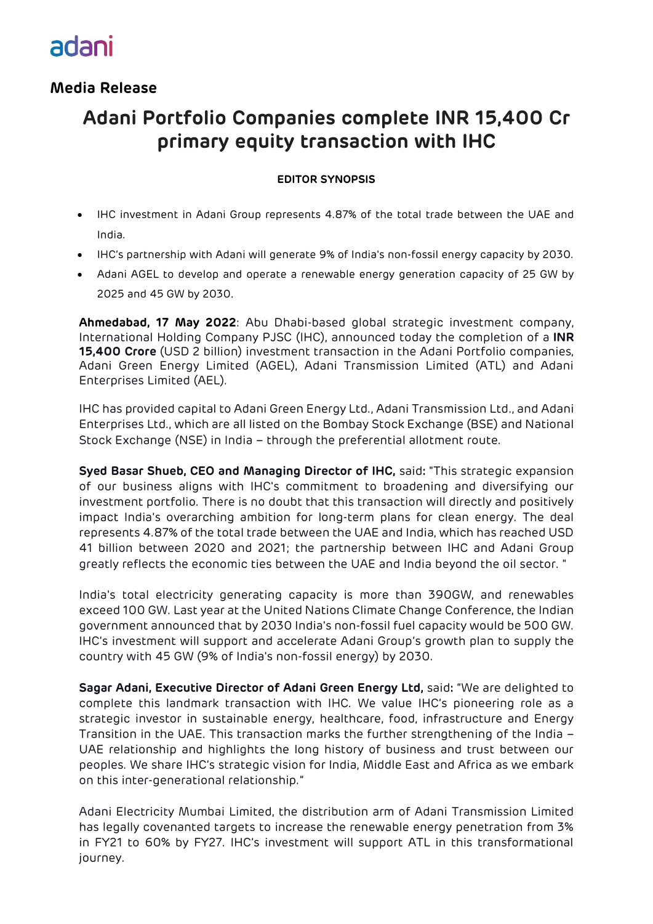# adani

### **Media Release**

### **Adani Portfolio Companies complete INR 15,400 Cr primary equity transaction with IHC**

#### **EDITOR SYNOPSIS**

- IHC investment in Adani Group represents 4.87% of the total trade between the UAE and India.
- IHC's partnership with Adani will generate 9% of India's non-fossil energy capacity by 2030.
- Adani AGEL to develop and operate a renewable energy generation capacity of 25 GW by 2025 and 45 GW by 2030.

**Ahmedabad, 17 May 2022**: Abu Dhabi-based global strategic investment company, International Holding Company PJSC (IHC), announced today the completion of a **INR 15,400 Crore** (USD 2 billion) investment transaction in the Adani Portfolio companies, Adani Green Energy Limited (AGEL), Adani Transmission Limited (ATL) and Adani Enterprises Limited (AEL).

IHC has provided capital to Adani Green Energy Ltd., Adani Transmission Ltd., and Adani Enterprises Ltd., which are all listed on the Bombay Stock Exchange (BSE) and National Stock Exchange (NSE) in India – through the preferential allotment route.

**Syed Basar Shueb, CEO and Managing Director of IHC,** said**:** "This strategic expansion of our business aligns with IHC's commitment to broadening and diversifying our investment portfolio. There is no doubt that this transaction will directly and positively impact India's overarching ambition for long-term plans for clean energy. The deal represents 4.87% of the total trade between the UAE and India, which has reached USD 41 billion between 2020 and 2021; the partnership between IHC and Adani Group greatly reflects the economic ties between the UAE and India beyond the oil sector. "

India's total electricity generating capacity is more than 390GW, and renewables exceed 100 GW. Last year at the United Nations Climate Change Conference, the Indian government announced that by 2030 India's non-fossil fuel capacity would be 500 GW. IHC's investment will support and accelerate Adani Group's growth plan to supply the country with 45 GW (9% of India's non-fossil energy) by 2030.

**Sagar Adani, Executive Director of Adani Green Energy Ltd,** said**:** "We are delighted to complete this landmark transaction with IHC. We value IHC's pioneering role as a strategic investor in sustainable energy, healthcare, food, infrastructure and Energy Transition in the UAE. This transaction marks the further strengthening of the India – UAE relationship and highlights the long history of business and trust between our peoples. We share IHC's strategic vision for India, Middle East and Africa as we embark on this inter-generational relationship."

Adani Electricity Mumbai Limited, the distribution arm of Adani Transmission Limited has legally covenanted targets to increase the renewable energy penetration from 3% in FY21 to 60% by FY27. IHC's investment will support ATL in this transformational journey.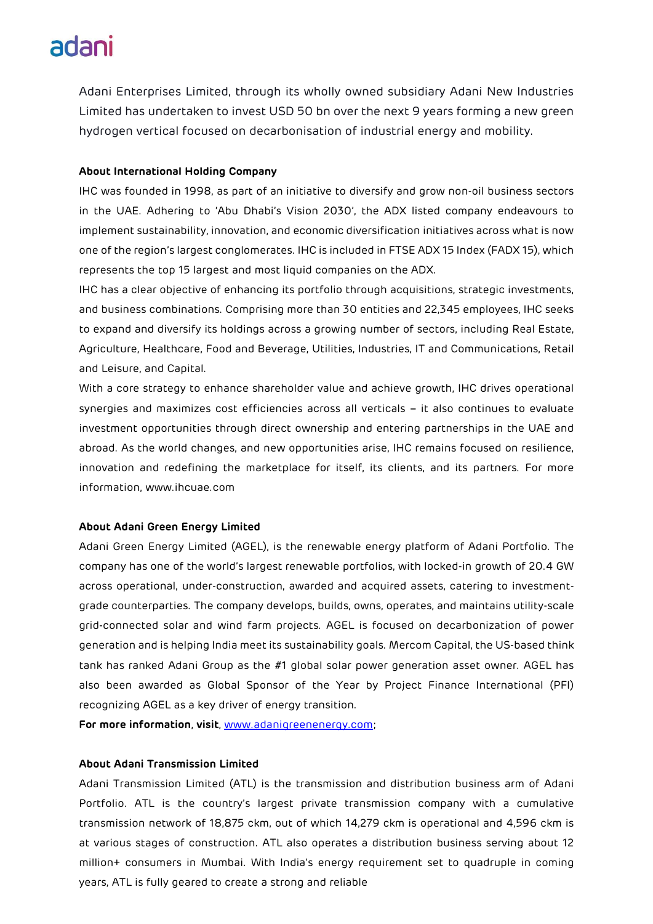### adani

Adani Enterprises Limited, through its wholly owned subsidiary Adani New Industries Limited has undertaken to invest USD 50 bn over the next 9 years forming a new green hydrogen vertical focused on decarbonisation of industrial energy and mobility.

#### **About International Holding Company**

IHC was founded in 1998, as part of an initiative to diversify and grow non-oil business sectors in the UAE. Adhering to 'Abu Dhabi's Vision 2030', the ADX listed company endeavours to implement sustainability, innovation, and economic diversification initiatives across what is now one of the region's largest conglomerates. IHC is included in FTSE ADX 15 Index (FADX 15), which represents the top 15 largest and most liquid companies on the ADX.

IHC has a clear objective of enhancing its portfolio through acquisitions, strategic investments, and business combinations. Comprising more than 30 entities and 22,345 employees, IHC seeks to expand and diversify its holdings across a growing number of sectors, including Real Estate, Agriculture, Healthcare, Food and Beverage, Utilities, Industries, IT and Communications, Retail and Leisure, and Capital.

With a core strategy to enhance shareholder value and achieve growth, IHC drives operational synergies and maximizes cost efficiencies across all verticals – it also continues to evaluate investment opportunities through direct ownership and entering partnerships in the UAE and abroad. As the world changes, and new opportunities arise, IHC remains focused on resilience, innovation and redefining the marketplace for itself, its clients, and its partners. For more information, [www.ihcuae.com](http://www.ihcuae.com/)

#### **About Adani Green Energy Limited**

Adani Green Energy Limited (AGEL), is the renewable energy platform of Adani Portfolio. The company has one of the world's largest renewable portfolios, with locked-in growth of 20.4 GW across operational, under-construction, awarded and acquired assets, catering to investmentgrade counterparties. The company develops, builds, owns, operates, and maintains utility-scale grid-connected solar and wind farm projects. AGEL is focused on decarbonization of power generation and is helping India meet its sustainability goals. Mercom Capital, the US-based think tank has ranked Adani Group as the #1 global solar power generation asset owner. AGEL has also been awarded as Global Sponsor of the Year by Project Finance International (PFI) recognizing AGEL as a key driver of energy transition.

**For more information**, **visit**, [www.adanigreenenergy.com;](http://www.adanigreenenergy.com/)

#### **About Adani Transmission Limited**

Adani Transmission Limited (ATL) is the transmission and distribution business arm of Adani Portfolio. ATL is the country's largest private transmission company with a cumulative transmission network of 18,875 ckm, out of which 14,279 ckm is operational and 4,596 ckm is at various stages of construction. ATL also operates a distribution business serving about 12 million+ consumers in Mumbai. With India's energy requirement set to quadruple in coming years, ATL is fully geared to create a strong and reliable